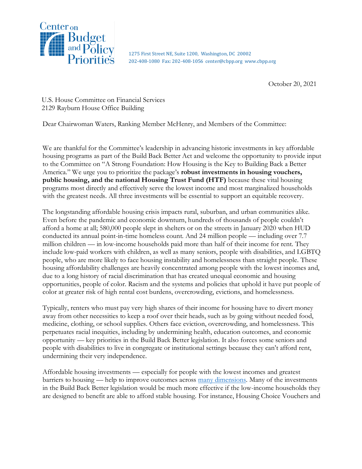

1275 First Street NE, Suite 1200, Washington, DC 20002 202-408-1080 Fax: 202-408-1056 center@cbpp.org www.cbpp.org

October 20, 2021

U.S. House Committee on Financial Services 2129 Rayburn House Office Building

Dear Chairwoman Waters, Ranking Member McHenry, and Members of the Committee:

We are thankful for the Committee's leadership in advancing historic investments in key affordable housing programs as part of the Build Back Better Act and welcome the opportunity to provide input to the Committee on "A Strong Foundation: How Housing is the Key to Building Back a Better America." We urge you to prioritize the package's **robust investments in housing vouchers, public housing, and the national Housing Trust Fund (HTF)** because these vital housing programs most directly and effectively serve the lowest income and most marginalized households with the greatest needs. All three investments will be essential to support an equitable recovery.

The longstanding affordable housing crisis impacts rural, suburban, and urban communities alike. Even before the pandemic and economic downturn, hundreds of thousands of people couldn't afford a home at all; 580,000 people slept in shelters or on the streets in January 2020 when HUD conducted its annual point-in-time homeless count. And 24 million people — including over 7.7 million children — in low-income households paid more than half of their income for rent. They include low-paid workers with children, as well as many seniors, people with disabilities, and LGBTQ people, who are more likely to face housing instability and homelessness than straight people. These housing affordability challenges are heavily concentrated among people with the lowest incomes and, due to a long history of racial discrimination that has created unequal economic and housing opportunities, people of color. Racism and the systems and policies that uphold it have put people of color at greater risk of high rental cost burdens, overcrowding, evictions, and homelessness.

Typically, renters who must pay very high shares of their income for housing have to divert money away from other necessities to keep a roof over their heads, such as by going without needed food, medicine, clothing, or school supplies. Others face eviction, overcrowding, and homelessness. This perpetuates racial inequities, including by undermining health, education outcomes, and economic opportunity — key priorities in the Build Back Better legislation. It also forces some seniors and people with disabilities to live in congregate or institutional settings because they can't afford rent, undermining their very independence.

Affordable housing investments — especially for people with the lowest incomes and greatest barriers to housing — help to improve outcomes across [many dimensions.](https://www.opportunityhome.org/related-sectors/) Many of the investments in the Build Back Better legislation would be much more effective if the low-income households they are designed to benefit are able to afford stable housing. For instance, Housing Choice Vouchers and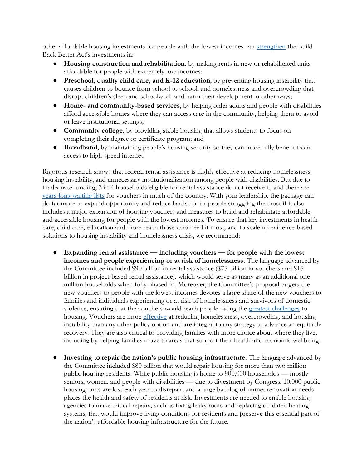other affordable housing investments for people with the lowest incomes can [strengthen](https://www.cbpp.org/research/housing/housing-vouchers-strengthen-other-recovery-agenda-investments) the Build Back Better Act's investments in:

- **Housing construction and rehabilitation**, by making rents in new or rehabilitated units affordable for people with extremely low incomes;
- **Preschool, quality child care, and K-12 education**, by preventing housing instability that causes children to bounce from school to school, and homelessness and overcrowding that disrupt children's sleep and schoolwork and harm their development in other ways;
- **Home- and community-based services**, by helping older adults and people with disabilities afford accessible homes where they can access care in the community, helping them to avoid or leave institutional settings;
- **Community college**, by providing stable housing that allows students to focus on completing their degree or certificate program; and
- **Broadband**, by maintaining people's housing security so they can more fully benefit from access to high-speed internet.

Rigorous research shows that federal rental assistance is highly effective at reducing homelessness, housing instability, and unnecessary institutionalization among people with disabilities. But due to inadequate funding, 3 in 4 households eligible for rental assistance do not receive it, and there are [years-long waiting lists](https://www.cbpp.org/research/housing/families-wait-years-for-housing-vouchers-due-to-inadequate-funding) for vouchers in much of the country. With your leadership, the package can do far more to expand opportunity and reduce hardship for people struggling the most if it also includes a major expansion of housing vouchers and measures to build and rehabilitate affordable and accessible housing for people with the lowest incomes. To ensure that key investments in health care, child care, education and more reach those who need it most, and to scale up evidence-based solutions to housing instability and homelessness crisis, we recommend:

- **Expanding rental assistance — including vouchers — for people with the lowest incomes and people experiencing or at risk of homelessness.** The language advanced by the Committee included \$90 billion in rental assistance (\$75 billion in vouchers and \$15 billion in project-based rental assistance), which would serve as many as an additional one million households when fully phased in. Moreover, the Committee's proposal targets the new vouchers to people with the lowest incomes devotes a large share of the new vouchers to families and individuals experiencing or at risk of homelessness and survivors of domestic violence, ensuring that the vouchers would reach people facing the [greatest challenges](https://www.cbpp.org/blog/proposed-targeted-housing-voucher-expansion-is-critical-to-housing-stability-for-people-with) to housing. Vouchers are more *effective* at reducing homelessness, overcrowding, and housing instability than any other policy option and are integral to any strategy to advance an equitable recovery. They are also critical to providing families with more choice about where they live, including by helping families move to areas that support their health and economic wellbeing.
- **Investing to repair the nation's public housing infrastructure.** The language advanced by the Committee included \$80 billion that would repair housing for more than two million public housing residents. While public housing is home to 900,000 households — mostly seniors, women, and people with disabilities — due to divestment by Congress, 10,000 public housing units are lost each year to disrepair, and a large backlog of unmet renovation needs places the health and safety of residents at risk. Investments are needed to enable housing agencies to make critical repairs, such as fixing leaky roofs and replacing outdated heating systems, that would improve living conditions for residents and preserve this essential part of the nation's affordable housing infrastructure for the future.